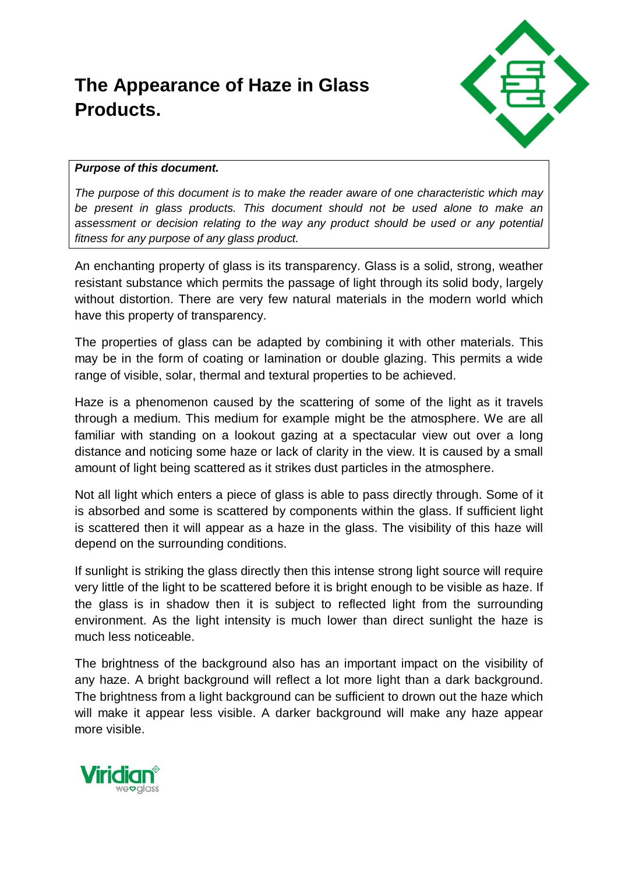## **The Appearance of Haze in Glass Products.**



## *Purpose of this document.*

*The purpose of this document is to make the reader aware of one characteristic which may be present in glass products. This document should not be used alone to make an assessment or decision relating to the way any product should be used or any potential fitness for any purpose of any glass product.* 

An enchanting property of glass is its transparency. Glass is a solid, strong, weather resistant substance which permits the passage of light through its solid body, largely without distortion. There are very few natural materials in the modern world which have this property of transparency.

The properties of glass can be adapted by combining it with other materials. This may be in the form of coating or lamination or double glazing. This permits a wide range of visible, solar, thermal and textural properties to be achieved.

Haze is a phenomenon caused by the scattering of some of the light as it travels through a medium. This medium for example might be the atmosphere. We are all familiar with standing on a lookout gazing at a spectacular view out over a long distance and noticing some haze or lack of clarity in the view. It is caused by a small amount of light being scattered as it strikes dust particles in the atmosphere.

Not all light which enters a piece of glass is able to pass directly through. Some of it is absorbed and some is scattered by components within the glass. If sufficient light is scattered then it will appear as a haze in the glass. The visibility of this haze will depend on the surrounding conditions.

If sunlight is striking the glass directly then this intense strong light source will require very little of the light to be scattered before it is bright enough to be visible as haze. If the glass is in shadow then it is subject to reflected light from the surrounding environment. As the light intensity is much lower than direct sunlight the haze is much less noticeable.

The brightness of the background also has an important impact on the visibility of any haze. A bright background will reflect a lot more light than a dark background. The brightness from a light background can be sufficient to drown out the haze which will make it appear less visible. A darker background will make any haze appear more visible.

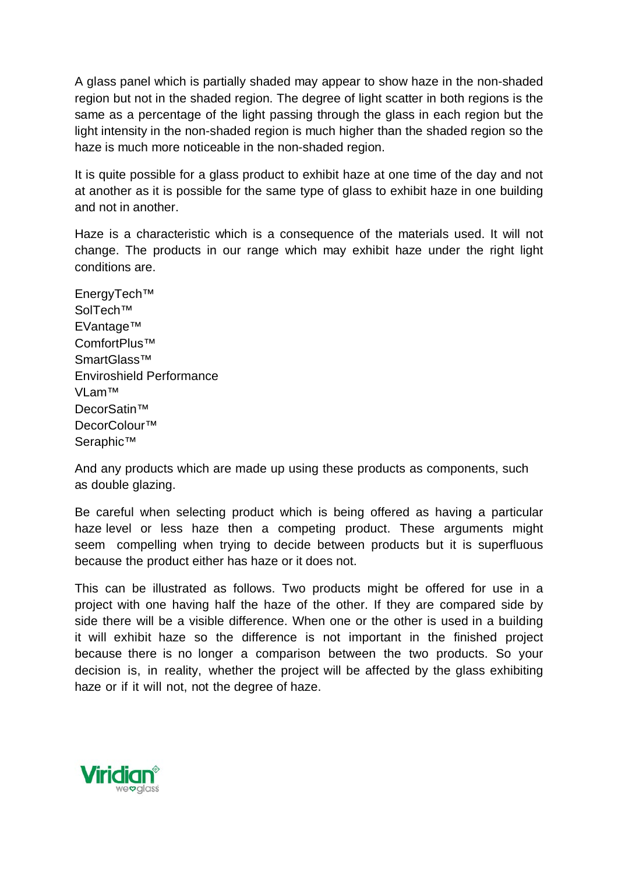A glass panel which is partially shaded may appear to show haze in the non-shaded region but not in the shaded region. The degree of light scatter in both regions is the same as a percentage of the light passing through the glass in each region but the light intensity in the non-shaded region is much higher than the shaded region so the haze is much more noticeable in the non-shaded region.

It is quite possible for a glass product to exhibit haze at one time of the day and not at another as it is possible for the same type of glass to exhibit haze in one building and not in another.

Haze is a characteristic which is a consequence of the materials used. It will not change. The products in our range which may exhibit haze under the right light conditions are.

EnergyTech™ SolTech™ EVantage™ ComfortPlus™ SmartGlass™ Enviroshield Performance VLam™ DecorSatin™ DecorColour™ Seraphic™

And any products which are made up using these products as components, such as double glazing.

Be careful when selecting product which is being offered as having a particular haze level or less haze then a competing product. These arguments might seem compelling when trying to decide between products but it is superfluous because the product either has haze or it does not.

This can be illustrated as follows. Two products might be offered for use in a project with one having half the haze of the other. If they are compared side by side there will be a visible difference. When one or the other is used in a building it will exhibit haze so the difference is not important in the finished project because there is no longer a comparison between the two products. So your decision is, in reality, whether the project will be affected by the glass exhibiting haze or if it will not, not the degree of haze.